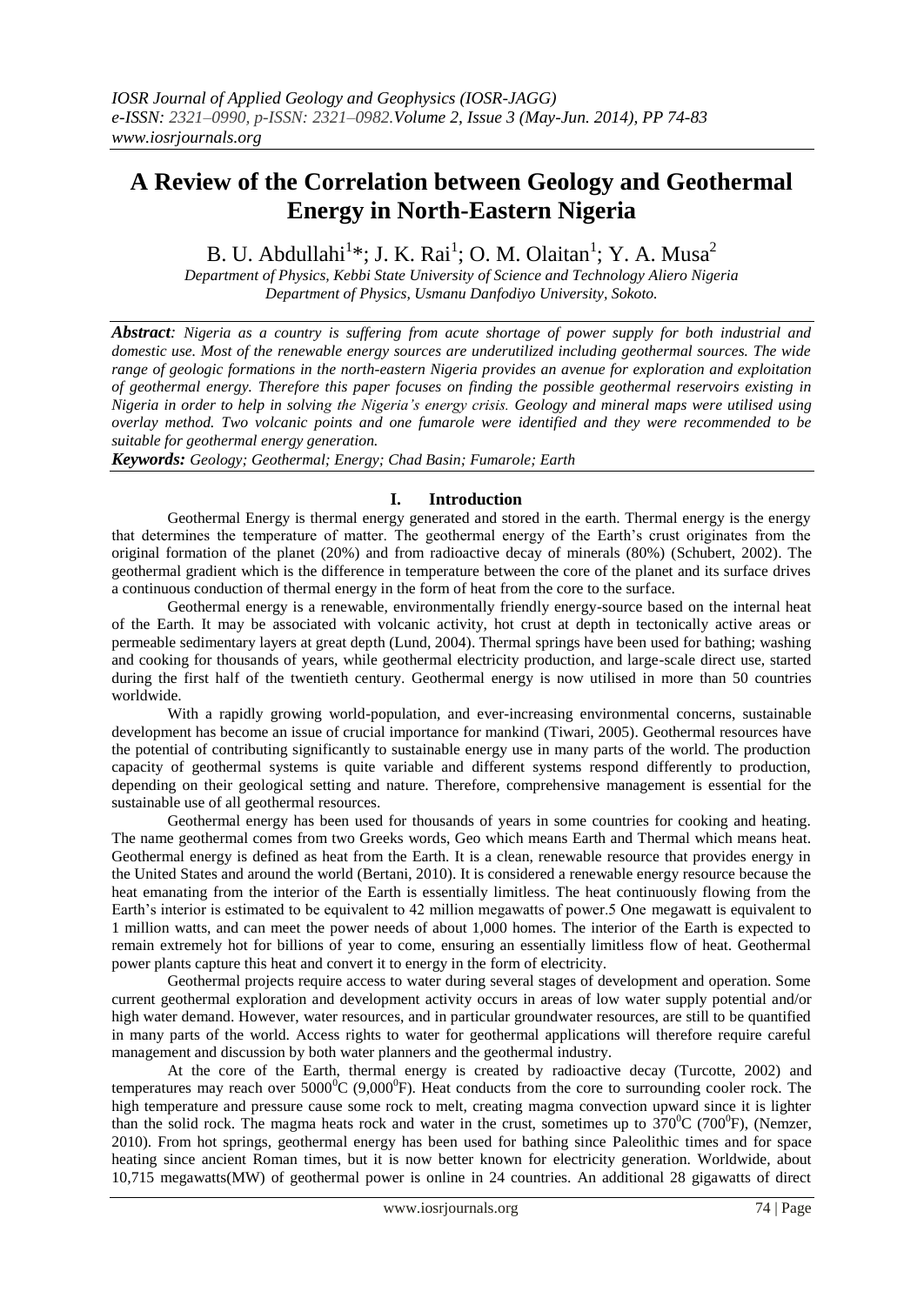# **A Review of the Correlation between Geology and Geothermal Energy in North-Eastern Nigeria**

B. U. Abdullahi<sup>1</sup>\*; J. K. Rai<sup>1</sup>; O. M. Olaitan<sup>1</sup>; Y. A. Musa<sup>2</sup>

*Department of Physics, Kebbi State University of Science and Technology Aliero Nigeria Department of Physics, Usmanu Danfodiyo University, Sokoto.*

*Abstract: Nigeria as a country is suffering from acute shortage of power supply for both industrial and domestic use. Most of the renewable energy sources are underutilized including geothermal sources. The wide range of geologic formations in the north-eastern Nigeria provides an avenue for exploration and exploitation of geothermal energy. Therefore this paper focuses on finding the possible geothermal reservoirs existing in Nigeria in order to help in solving the Nigeria's energy crisis. Geology and mineral maps were utilised using overlay method. Two volcanic points and one fumarole were identified and they were recommended to be suitable for geothermal energy generation.*

*Keywords: Geology; Geothermal; Energy; Chad Basin; Fumarole; Earth*

# **I. Introduction**

Geothermal Energy is thermal energy generated and stored in the earth. Thermal energy is the energy that determines the temperature of matter. The geothermal energy of the Earth"s crust originates from the original formation of the planet (20%) and from radioactive decay of minerals (80%) (Schubert, 2002). The geothermal gradient which is the difference in temperature between the core of the planet and its surface drives a continuous conduction of thermal energy in the form of heat from the core to the surface.

Geothermal energy is a renewable, environmentally friendly energy-source based on the internal heat of the Earth. It may be associated with volcanic activity, hot crust at depth in tectonically active areas or permeable sedimentary layers at great depth (Lund, 2004). Thermal springs have been used for bathing; washing and cooking for thousands of years, while geothermal electricity production, and large-scale direct use, started during the first half of the twentieth century. Geothermal energy is now utilised in more than 50 countries worldwide.

With a rapidly growing world-population, and ever-increasing environmental concerns, sustainable development has become an issue of crucial importance for mankind (Tiwari, 2005). Geothermal resources have the potential of contributing significantly to sustainable energy use in many parts of the world. The production capacity of geothermal systems is quite variable and different systems respond differently to production, depending on their geological setting and nature. Therefore, comprehensive management is essential for the sustainable use of all geothermal resources.

Geothermal energy has been used for thousands of years in some countries for cooking and heating. The name geothermal comes from two Greeks words, Geo which means Earth and Thermal which means heat. Geothermal energy is defined as heat from the Earth. It is a clean, renewable resource that provides energy in the United States and around the world (Bertani, 2010). It is considered a renewable energy resource because the heat emanating from the interior of the Earth is essentially limitless. The heat continuously flowing from the Earth's interior is estimated to be equivalent to 42 million megawatts of power.5 One megawatt is equivalent to 1 million watts, and can meet the power needs of about 1,000 homes. The interior of the Earth is expected to remain extremely hot for billions of year to come, ensuring an essentially limitless flow of heat. Geothermal power plants capture this heat and convert it to energy in the form of electricity.

Geothermal projects require access to water during several stages of development and operation. Some current geothermal exploration and development activity occurs in areas of low water supply potential and/or high water demand. However, water resources, and in particular groundwater resources, are still to be quantified in many parts of the world. Access rights to water for geothermal applications will therefore require careful management and discussion by both water planners and the geothermal industry.

At the core of the Earth, thermal energy is created by radioactive decay (Turcotte, 2002) and temperatures may reach over  $5000^{\circ}$ C (9,000 $^{\circ}$ F). Heat conducts from the core to surrounding cooler rock. The high temperature and pressure cause some rock to melt, creating [magma](http://en.wikipedia.org/wiki/Magma) convection upward since it is lighter than the solid rock. The magma heats rock and water in the crust, sometimes up to  $370^{\circ}$ C (700 $^{\circ}$ F), (Nemzer, 2010). From [hot springs,](http://en.wikipedia.org/wiki/Hot_springs) geothermal energy has been used for bathing since [Paleolithic](http://en.wikipedia.org/wiki/Paleolithic) times and for [space](http://en.wikipedia.org/wiki/Space_heating)  [heating](http://en.wikipedia.org/wiki/Space_heating) since ancient Roman times, but it is now better known for [electricity generation.](http://en.wikipedia.org/wiki/Electricity_generation) Worldwide, about 10,715 [megawatts\(](http://en.wikipedia.org/wiki/Megawatts)MW) of geothermal power is online in 24 countries. An additional 28 gigawatts of direct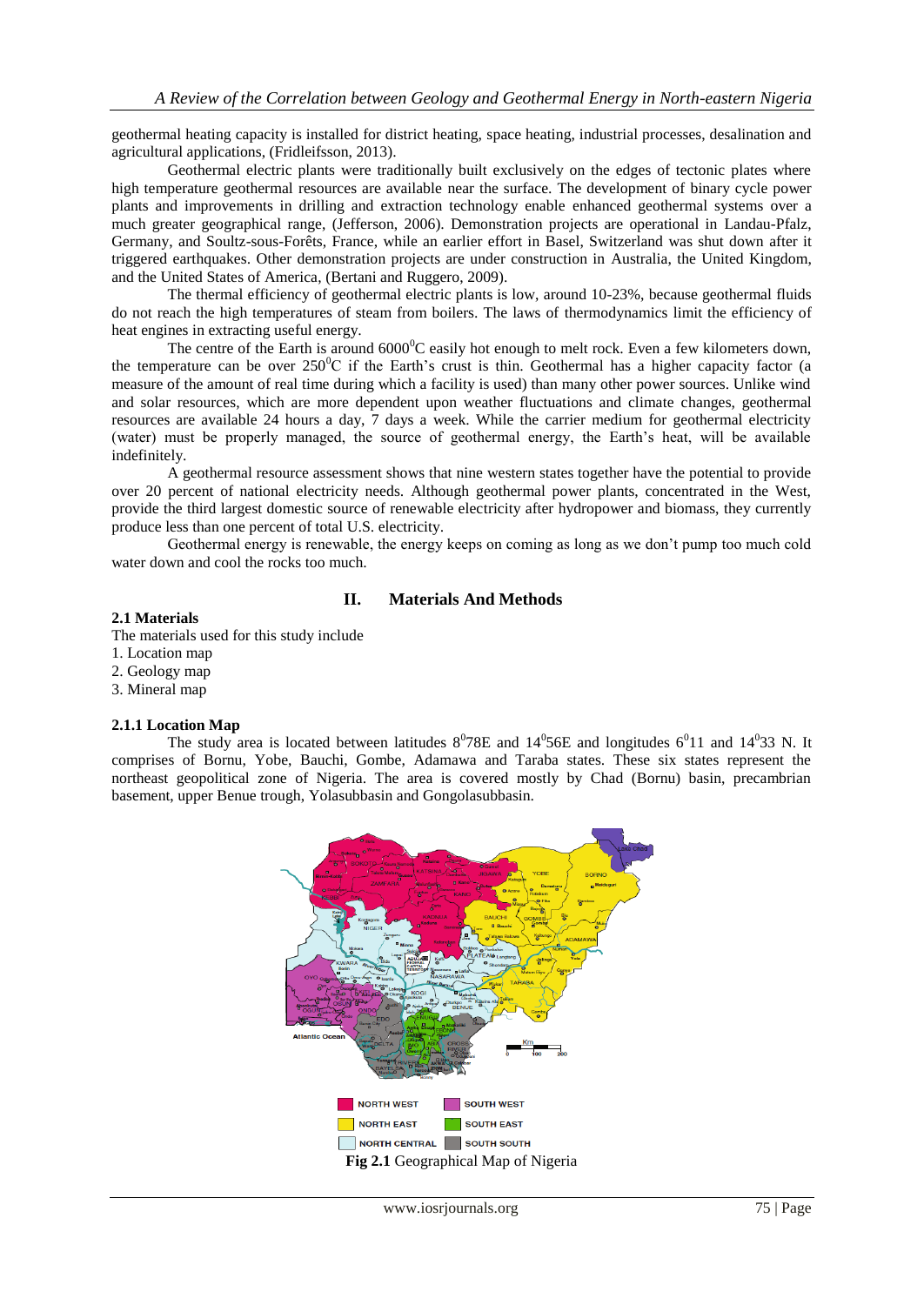[geothermal heating](http://en.wikipedia.org/wiki/Geothermal_heating) capacity is installed for district heating, space heating, industrial processes, desalination and agricultural applications, (Fridleifsson, 2013).

Geothermal electric plants were traditionally built exclusively on the edges of tectonic plates where high temperature geothermal resources are available near the surface. The development of [binary cycle power](http://en.wikipedia.org/wiki/Binary_cycle_power_plant)  [plants](http://en.wikipedia.org/wiki/Binary_cycle_power_plant) and improvements in drilling and extraction technology enable [enhanced geothermal systems](http://en.wikipedia.org/wiki/Enhanced_geothermal_systems) over a much greater geographical range, (Jefferson, 2006). Demonstration projects are operational in [Landau-Pfalz,](http://en.wikipedia.org/wiki/Landau-Pfalz) Germany, and [Soultz-sous-Forêts,](http://en.wikipedia.org/wiki/Soultz-sous-For%C3%AAts) France, while an earlier effort in [Basel,](http://en.wikipedia.org/wiki/Basel) Switzerland was shut down [after it](http://en.wikipedia.org/wiki/Induced_seismicity_in_Basel)  [triggered earthquakes.](http://en.wikipedia.org/wiki/Induced_seismicity_in_Basel) Other demonstration projects are under construction in [Australia,](http://en.wikipedia.org/wiki/Geothermal_power_in_Australia) the [United Kingdom,](http://en.wikipedia.org/wiki/United_Kingdom) and th[e United States of America,](http://en.wikipedia.org/wiki/United_States_of_America) (Bertani and Ruggero, 2009).

The [thermal efficiency](http://en.wikipedia.org/wiki/Thermal_efficiency) of geothermal electric plants is low, around 10-23%, because geothermal fluids do not reach the high temperatures of steam from boilers. The laws of [thermodynamics](http://en.wikipedia.org/wiki/Thermodynamics) limit the efficiency of [heat engines](http://en.wikipedia.org/wiki/Heat_engine#Efficiency) in extracting useful energy.

The centre of the Earth is around 6000<sup>°</sup>C easily hot enough to melt rock. Even a few kilometers down, the temperature can be over  $250^{\circ}$ C if the Earth's crust is thin. Geothermal has a higher capacity factor (a measure of the amount of real time during which a facility is used) than many other power sources. Unlike wind and solar resources, which are more dependent upon weather fluctuations and climate changes, geothermal resources are available 24 hours a day, 7 days a week. While the carrier medium for geothermal electricity (water) must be properly managed, the source of geothermal energy, the Earth"s heat, will be available indefinitely.

A geothermal resource assessment shows that nine western states together have the potential to provide over 20 percent of national electricity needs. Although geothermal power plants, concentrated in the West, provide the third largest domestic source of renewable electricity after hydropower and biomass, they currently produce less than one percent of total U.S. electricity.

Geothermal energy is renewable, the energy keeps on coming as long as we don"t pump too much cold water down and cool the rocks too much.

# **II. Materials And Methods**

## **2.1 Materials**

The materials used for this study include

- 1. Location map
- 2. Geology map
- 3. Mineral map

# **2.1.1 Location Map**

The study area is located between latitudes  $8^0$ 78E and  $14^0$ 56E and longitudes 6 $^0$ 11 and 14 $^0$ 33 N. It comprises of Bornu, Yobe, Bauchi, Gombe, Adamawa and Taraba states. These six states represent the northeast geopolitical zone of Nigeria. The area is covered mostly by Chad (Bornu) basin, precambrian basement, upper Benue trough, Yolasubbasin and Gongolasubbasin.

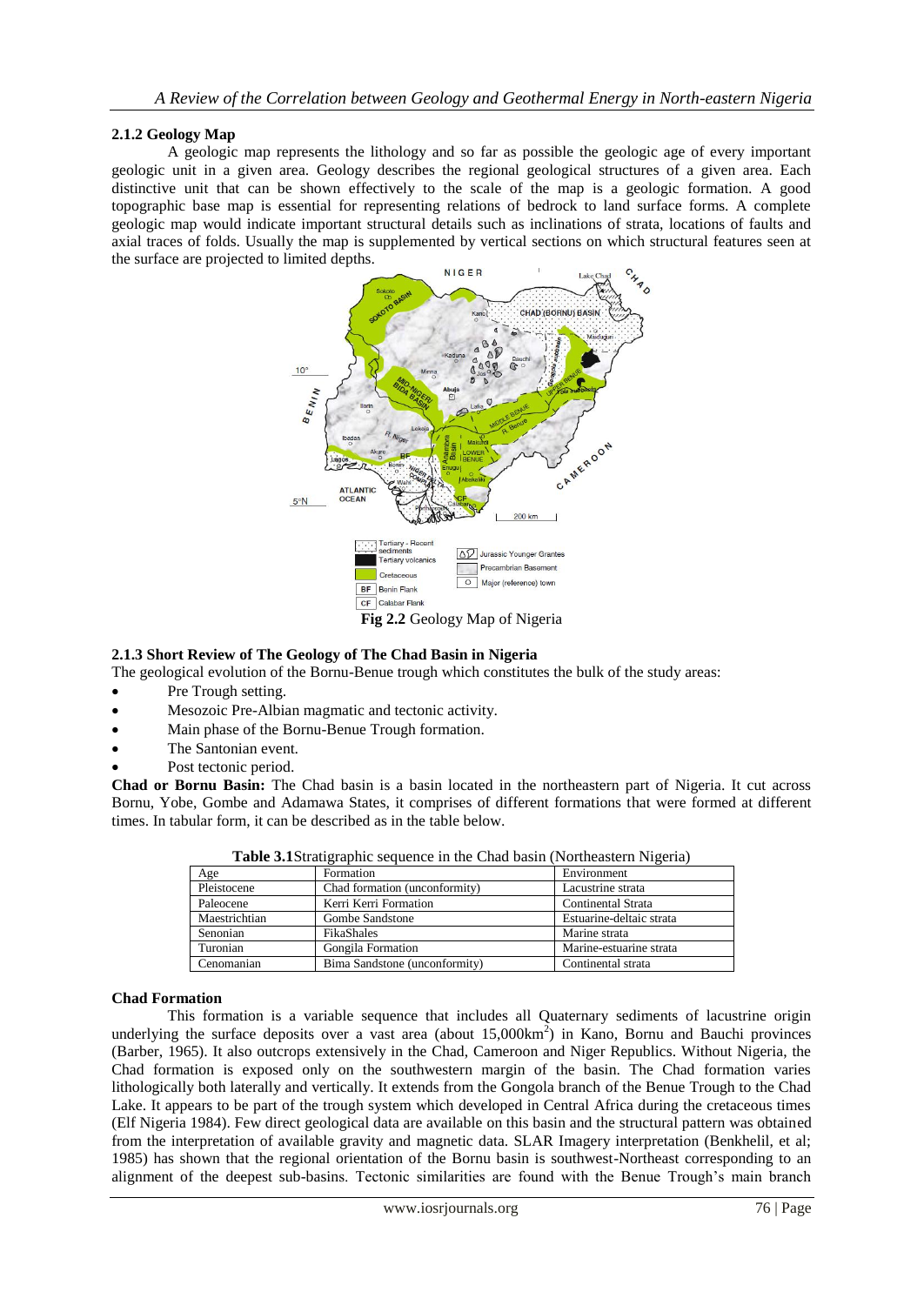# **2.1.2 Geology Map**

A geologic map represents the lithology and so far as possible the geologic age of every important geologic unit in a given area. Geology describes the regional geological structures of a given area. Each distinctive unit that can be shown effectively to the scale of the map is a geologic formation. A good topographic base map is essential for representing relations of bedrock to land surface forms. A complete geologic map would indicate important structural details such as inclinations of strata, locations of faults and axial traces of folds. Usually the map is supplemented by vertical sections on which structural features seen at the surface are projected to limited depths.



## **2.1.3 Short Review of The Geology of The Chad Basin in Nigeria**

The geological evolution of the Bornu-Benue trough which constitutes the bulk of the study areas:

- Pre Trough setting.
- Mesozoic Pre-Albian magmatic and tectonic activity.
- Main phase of the Bornu-Benue Trough formation.
- The Santonian event.
- Post tectonic period.

**Chad or Bornu Basin:** The Chad basin is a basin located in the northeastern part of Nigeria. It cut across Bornu, Yobe, Gombe and Adamawa States, it comprises of different formations that were formed at different times. In tabular form, it can be described as in the table below.

| <b>rapic original graphic sequence in the Chau basin</b> (Fortheastern Fugeria) |                               |                          |  |  |  |  |
|---------------------------------------------------------------------------------|-------------------------------|--------------------------|--|--|--|--|
| Age                                                                             | Formation                     | Environment              |  |  |  |  |
| Pleistocene                                                                     | Chad formation (unconformity) | Lacustrine strata        |  |  |  |  |
| Paleocene                                                                       | Kerri Kerri Formation         | Continental Strata       |  |  |  |  |
| Maestrichtian                                                                   | Gombe Sandstone               | Estuarine-deltaic strata |  |  |  |  |
| Senonian                                                                        | <b>FikaShales</b>             | Marine strata            |  |  |  |  |
| Turonian                                                                        | Gongila Formation             | Marine-estuarine strata  |  |  |  |  |
| Cenomanian                                                                      | Bima Sandstone (unconformity) | Continental strata       |  |  |  |  |

**Table 3.1**Stratigraphic sequence in the Chad basin (Northeastern Nigeria)

#### **Chad Formation**

This formation is a variable sequence that includes all Quaternary sediments of lacustrine origin underlying the surface deposits over a vast area (about  $15,000 \text{km}^2$ ) in Kano, Bornu and Bauchi provinces (Barber, 1965). It also outcrops extensively in the Chad, Cameroon and Niger Republics. Without Nigeria, the Chad formation is exposed only on the southwestern margin of the basin. The Chad formation varies lithologically both laterally and vertically. It extends from the Gongola branch of the Benue Trough to the Chad Lake. It appears to be part of the trough system which developed in Central Africa during the cretaceous times (Elf Nigeria 1984). Few direct geological data are available on this basin and the structural pattern was obtained from the interpretation of available gravity and magnetic data. SLAR Imagery interpretation (Benkhelil, et al; 1985) has shown that the regional orientation of the Bornu basin is southwest-Northeast corresponding to an alignment of the deepest sub-basins. Tectonic similarities are found with the Benue Trough"s main branch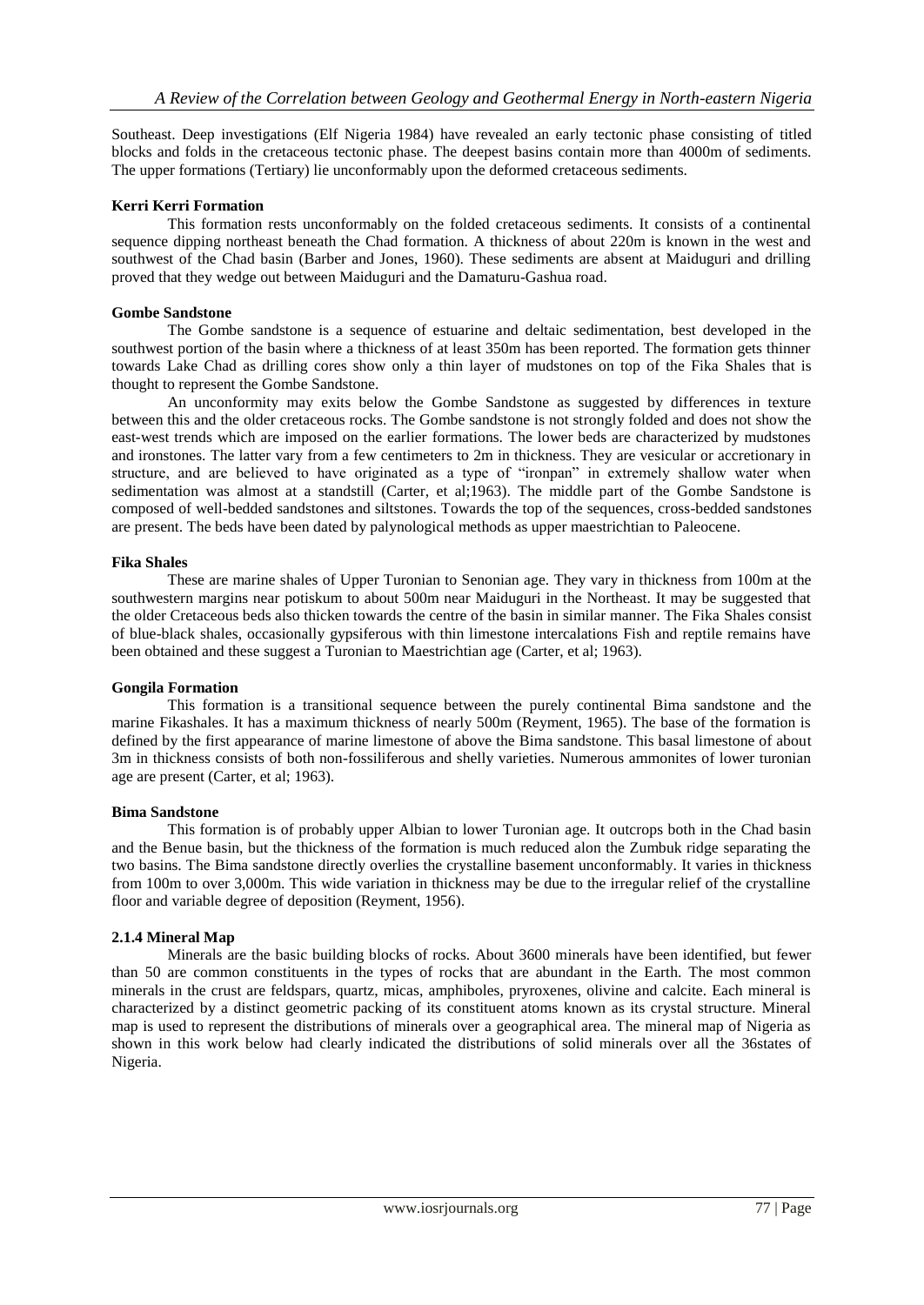Southeast. Deep investigations (Elf Nigeria 1984) have revealed an early tectonic phase consisting of titled blocks and folds in the cretaceous tectonic phase. The deepest basins contain more than 4000m of sediments. The upper formations (Tertiary) lie unconformably upon the deformed cretaceous sediments.

# **Kerri Kerri Formation**

This formation rests unconformably on the folded cretaceous sediments. It consists of a continental sequence dipping northeast beneath the Chad formation. A thickness of about 220m is known in the west and southwest of the Chad basin (Barber and Jones, 1960). These sediments are absent at Maiduguri and drilling proved that they wedge out between Maiduguri and the Damaturu-Gashua road.

# **Gombe Sandstone**

The Gombe sandstone is a sequence of estuarine and deltaic sedimentation, best developed in the southwest portion of the basin where a thickness of at least 350m has been reported. The formation gets thinner towards Lake Chad as drilling cores show only a thin layer of mudstones on top of the Fika Shales that is thought to represent the Gombe Sandstone.

An unconformity may exits below the Gombe Sandstone as suggested by differences in texture between this and the older cretaceous rocks. The Gombe sandstone is not strongly folded and does not show the east-west trends which are imposed on the earlier formations. The lower beds are characterized by mudstones and ironstones. The latter vary from a few centimeters to 2m in thickness. They are vesicular or accretionary in structure, and are believed to have originated as a type of "ironpan" in extremely shallow water when sedimentation was almost at a standstill (Carter, et al;1963). The middle part of the Gombe Sandstone is composed of well-bedded sandstones and siltstones. Towards the top of the sequences, cross-bedded sandstones are present. The beds have been dated by palynological methods as upper maestrichtian to Paleocene.

# **Fika Shales**

These are marine shales of Upper Turonian to Senonian age. They vary in thickness from 100m at the southwestern margins near potiskum to about 500m near Maiduguri in the Northeast. It may be suggested that the older Cretaceous beds also thicken towards the centre of the basin in similar manner. The Fika Shales consist of blue-black shales, occasionally gypsiferous with thin limestone intercalations Fish and reptile remains have been obtained and these suggest a Turonian to Maestrichtian age (Carter, et al; 1963).

## **Gongila Formation**

This formation is a transitional sequence between the purely continental Bima sandstone and the marine Fikashales. It has a maximum thickness of nearly 500m (Reyment, 1965). The base of the formation is defined by the first appearance of marine limestone of above the Bima sandstone. This basal limestone of about 3m in thickness consists of both non-fossiliferous and shelly varieties. Numerous ammonites of lower turonian age are present (Carter, et al; 1963).

## **Bima Sandstone**

This formation is of probably upper Albian to lower Turonian age. It outcrops both in the Chad basin and the Benue basin, but the thickness of the formation is much reduced alon the Zumbuk ridge separating the two basins. The Bima sandstone directly overlies the crystalline basement unconformably. It varies in thickness from 100m to over 3,000m. This wide variation in thickness may be due to the irregular relief of the crystalline floor and variable degree of deposition (Reyment, 1956).

# **2.1.4 Mineral Map**

Minerals are the basic building blocks of rocks. About 3600 minerals have been identified, but fewer than 50 are common constituents in the types of rocks that are abundant in the Earth. The most common minerals in the crust are feldspars, quartz, micas, amphiboles, pryroxenes, olivine and calcite. Each mineral is characterized by a distinct geometric packing of its constituent atoms known as its crystal structure. Mineral map is used to represent the distributions of minerals over a geographical area. The mineral map of Nigeria as shown in this work below had clearly indicated the distributions of solid minerals over all the 36states of Nigeria.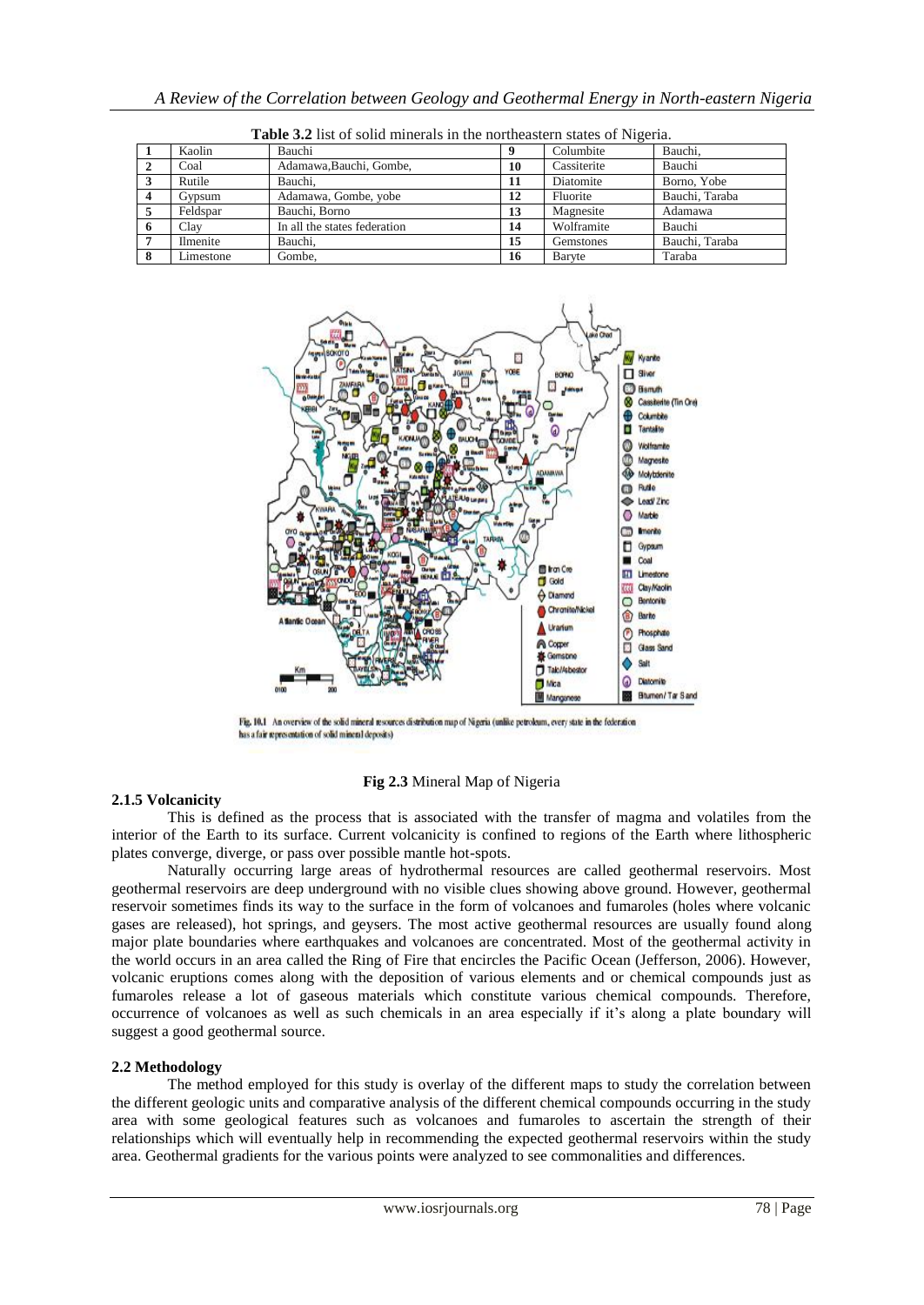|    | Kaolin          | Bauchi                       |    | Columbite   | Bauchi.        |
|----|-----------------|------------------------------|----|-------------|----------------|
|    | Coal            | Adamawa, Bauchi, Gombe,      | 10 | Cassiterite | Bauchi         |
|    | Rutile          | Bauchi.                      | 11 | Diatomite   | Borno, Yobe    |
|    | Gypsum          | Adamawa, Gombe, yobe         | 12 | Fluorite    | Bauchi, Taraba |
|    | Feldspar        | Bauchi, Borno                | 13 | Magnesite   | Adamawa        |
| 6  | Clav            | In all the states federation | 14 | Wolframite  | Bauchi         |
|    | <b>Ilmenite</b> | Bauchi.                      | 15 | Gemstones   | Bauchi, Taraba |
| -8 | Limestone       | Gombe.                       | 16 | Baryte      | Taraba         |

**Table 3.2** list of solid minerals in the northeastern states of Nigeria.



Fig. 10.1 An overview of the solid mineral resources distribution map of Nigeria (unlike petroleum, every state in the federation has a fair representation of solid mineral deposits)

## **Fig 2.3** Mineral Map of Nigeria

#### **2.1.5 Volcanicity**

This is defined as the process that is associated with the transfer of magma and volatiles from the interior of the Earth to its surface. Current volcanicity is confined to regions of the Earth where lithospheric plates converge, diverge, or pass over possible mantle hot-spots.

Naturally occurring large areas of hydrothermal resources are called geothermal reservoirs. Most geothermal reservoirs are deep underground with no visible clues showing above ground. However, geothermal reservoir sometimes finds its way to the surface in the form of volcanoes and fumaroles (holes where volcanic gases are released), hot springs, and geysers. The most active geothermal resources are usually found along major plate boundaries where earthquakes and volcanoes are concentrated. Most of the geothermal activity in the world occurs in an area called the Ring of Fire that encircles the Pacific Ocean (Jefferson, 2006). However, volcanic eruptions comes along with the deposition of various elements and or chemical compounds just as fumaroles release a lot of gaseous materials which constitute various chemical compounds. Therefore, occurrence of volcanoes as well as such chemicals in an area especially if it's along a plate boundary will suggest a good geothermal source.

#### **2.2 Methodology**

The method employed for this study is overlay of the different maps to study the correlation between the different geologic units and comparative analysis of the different chemical compounds occurring in the study area with some geological features such as volcanoes and fumaroles to ascertain the strength of their relationships which will eventually help in recommending the expected geothermal reservoirs within the study area. Geothermal gradients for the various points were analyzed to see commonalities and differences.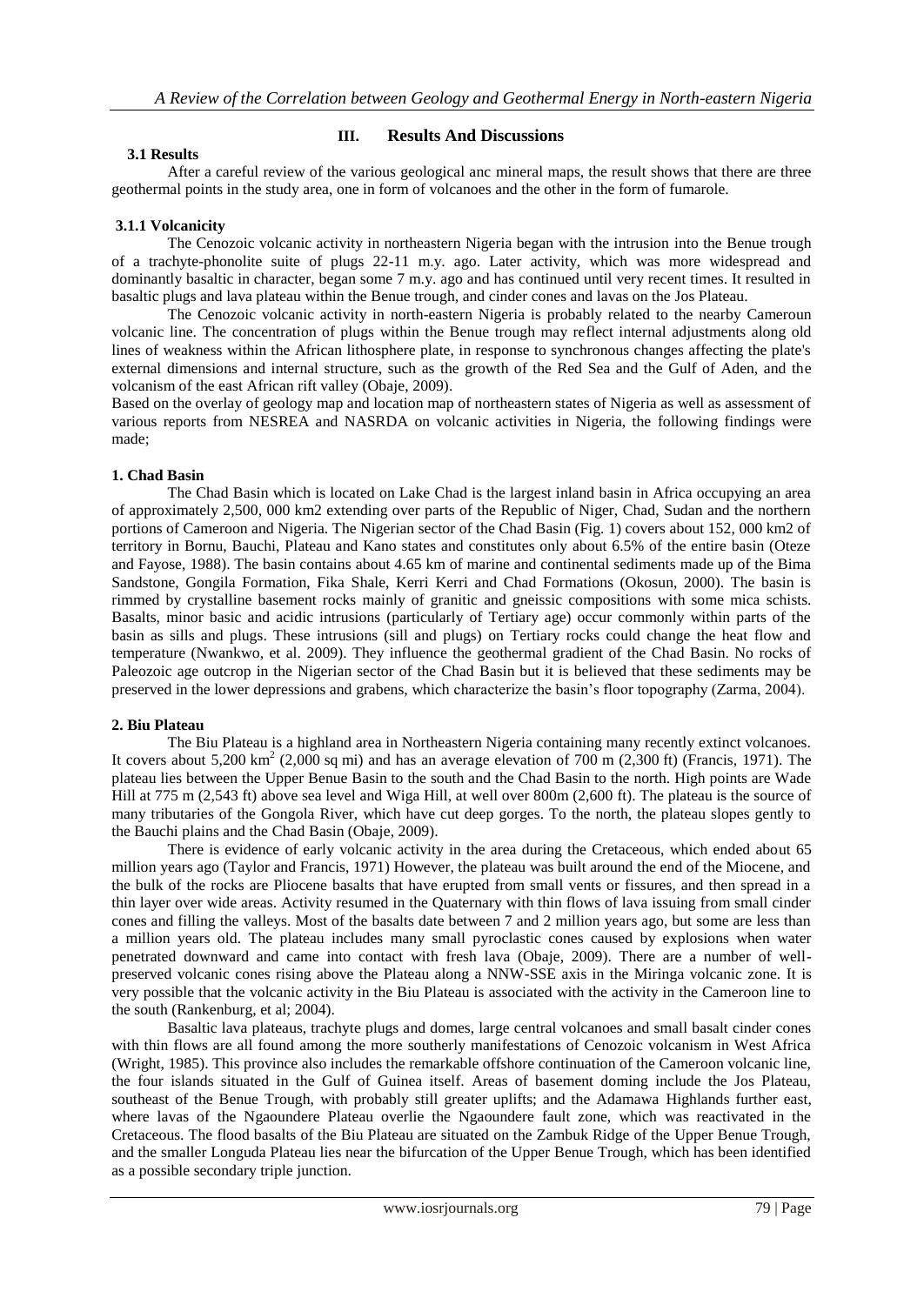# **3.1 Results**

# **III. Results And Discussions**

After a careful review of the various geological anc mineral maps, the result shows that there are three geothermal points in the study area, one in form of volcanoes and the other in the form of fumarole.

## **3.1.1 Volcanicity**

The Cenozoic volcanic activity in northeastern Nigeria began with the intrusion into the Benue trough of a trachyte-phonolite suite of plugs 22-11 m.y. ago. Later activity, which was more widespread and dominantly basaltic in character, began some 7 m.y. ago and has continued until very recent times. It resulted in basaltic plugs and lava plateau within the Benue trough, and cinder cones and lavas on the Jos Plateau.

The Cenozoic volcanic activity in north-eastern Nigeria is probably related to the nearby Cameroun volcanic line. The concentration of plugs within the Benue trough may reflect internal adjustments along old lines of weakness within the African lithosphere plate, in response to synchronous changes affecting the plate's external dimensions and internal structure, such as the growth of the Red Sea and the Gulf of Aden, and the volcanism of the east African rift valley (Obaje, 2009).

Based on the overlay of geology map and location map of northeastern states of Nigeria as well as assessment of various reports from NESREA and NASRDA on volcanic activities in Nigeria, the following findings were made;

## **1. Chad Basin**

The Chad Basin which is located on Lake Chad is the largest inland basin in Africa occupying an area of approximately 2,500, 000 km2 extending over parts of the Republic of Niger, Chad, Sudan and the northern portions of Cameroon and Nigeria. The Nigerian sector of the Chad Basin (Fig. 1) covers about 152, 000 km2 of territory in Bornu, Bauchi, Plateau and Kano states and constitutes only about 6.5% of the entire basin (Oteze and Fayose, 1988). The basin contains about 4.65 km of marine and continental sediments made up of the Bima Sandstone, Gongila Formation, Fika Shale, Kerri Kerri and Chad Formations (Okosun, 2000). The basin is rimmed by crystalline basement rocks mainly of granitic and gneissic compositions with some mica schists. Basalts, minor basic and acidic intrusions (particularly of Tertiary age) occur commonly within parts of the basin as sills and plugs. These intrusions (sill and plugs) on Tertiary rocks could change the heat flow and temperature (Nwankwo, et al. 2009). They influence the geothermal gradient of the Chad Basin. No rocks of Paleozoic age outcrop in the Nigerian sector of the Chad Basin but it is believed that these sediments may be preserved in the lower depressions and grabens, which characterize the basin"s floor topography (Zarma, 2004).

## **2. Biu Plateau**

The Biu Plateau is a highland area in Northeastern Nigeria containing many recently extinct volcanoes. It covers about  $5,200 \text{ km}^2$  (2,000 sq mi) and has an average elevation of 700 m (2,300 ft) (Francis, 1971). The plateau lies between the Upper Benue Basin to the south and the Chad Basin to the north. High points are Wade Hill at 775 m (2,543 ft) above sea level and Wiga Hill, at well over 800m (2,600 ft). The plateau is the source of many tributaries of the Gongola River, which have cut deep gorges. To the north, the plateau slopes gently to the Bauchi plains and the Chad Basin (Obaje, 2009).

There is evidence of early volcanic activity in the area during the Cretaceous, which ended about 65 million years ago (Taylor and Francis, 1971) However, the plateau was built around the end of the Miocene, and the bulk of the rocks are Pliocene basalts that have erupted from small vents or fissures, and then spread in a thin layer over wide areas. Activity resumed in the Quaternary with thin flows of lava issuing from small cinder cones and filling the valleys. Most of the basalts date between 7 and 2 million years ago, but some are less than a million years old. The plateau includes many small pyroclastic cones caused by explosions when water penetrated downward and came into contact with fresh lava (Obaje, 2009). There are a number of wellpreserved volcanic cones rising above the Plateau along a NNW-SSE axis in the Miringa volcanic zone. It is very possible that the volcanic activity in the Biu Plateau is associated with the activity in the Cameroon line to the south (Rankenburg, et al; 2004).

Basaltic lava plateaus, trachyte plugs and domes, large central volcanoes and small basalt cinder cones with thin flows are all found among the more southerly manifestations of Cenozoic volcanism in West Africa (Wright, 1985). This province also includes the remarkable offshore continuation of the Cameroon volcanic line, the four islands situated in the Gulf of Guinea itself. Areas of basement doming include the Jos Plateau, southeast of the Benue Trough, with probably still greater uplifts; and the Adamawa Highlands further east, where lavas of the Ngaoundere Plateau overlie the Ngaoundere fault zone, which was reactivated in the Cretaceous. The flood basalts of the Biu Plateau are situated on the Zambuk Ridge of the Upper Benue Trough, and the smaller Longuda Plateau lies near the bifurcation of the Upper Benue Trough, which has been identified as a possible secondary triple junction.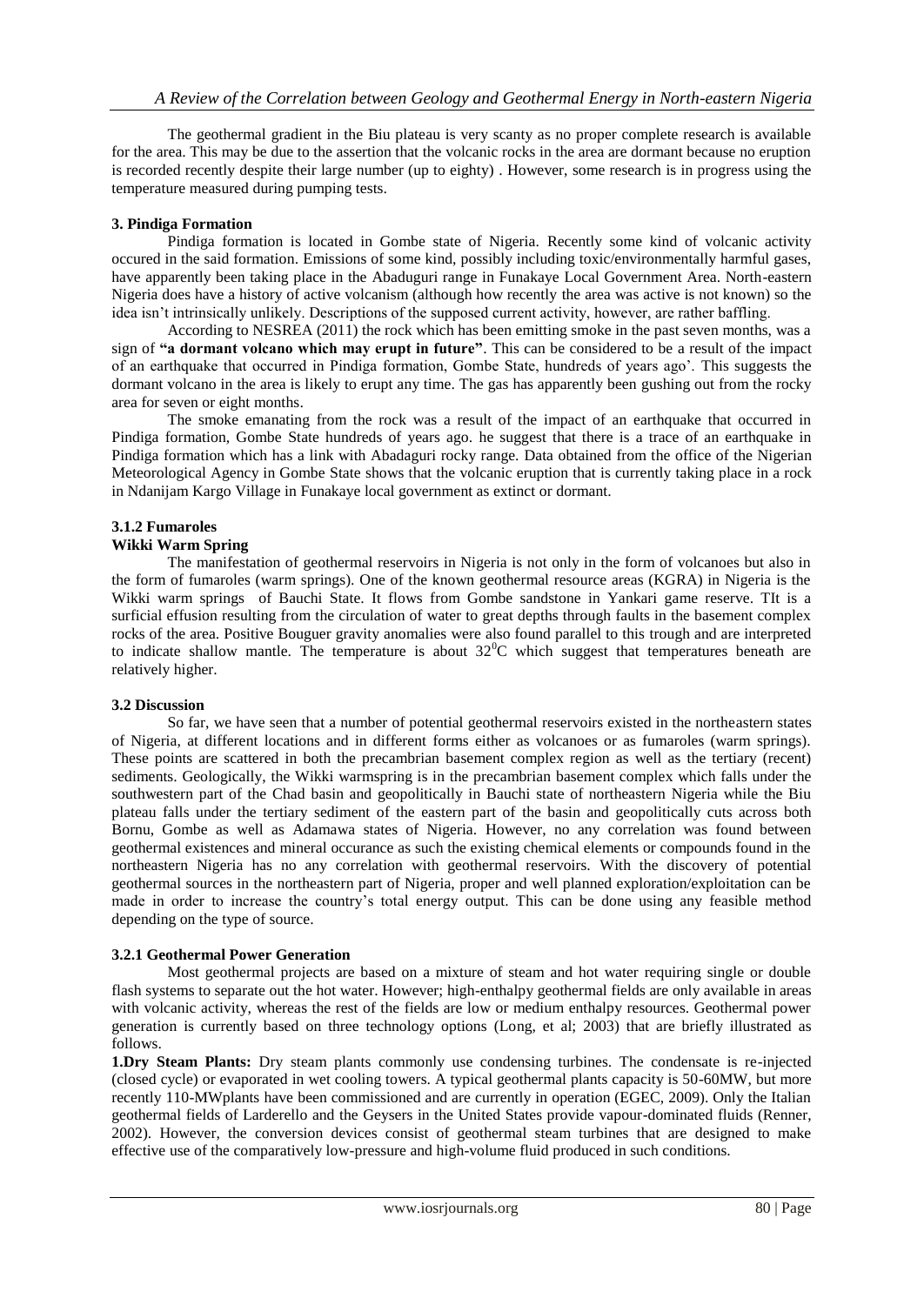The geothermal gradient in the Biu plateau is very scanty as no proper complete research is available for the area. This may be due to the assertion that the volcanic rocks in the area are dormant because no eruption is recorded recently despite their large number (up to eighty) . However, some research is in progress using the temperature measured during pumping tests.

# **3. Pindiga Formation**

Pindiga formation is located in Gombe state of Nigeria. Recently some kind of volcanic activity occured in the said formation. Emissions of some kind, possibly including toxic/environmentally harmful gases, have apparently been taking place in the Abaduguri range in Funakaye Local Government Area. North-eastern Nigeria does have a history of active volcanism (although how recently the area was active is not known) so the idea isn"t intrinsically unlikely. Descriptions of the supposed current activity, however, are rather baffling.

According to NESREA (2011) the rock which has been emitting smoke in the past seven months, was a sign of **"a dormant volcano which may erupt in future"**. This can be considered to be a result of the impact of an earthquake that occurred in Pindiga formation, Gombe State, hundreds of years ago". This suggests the dormant volcano in the area is likely to erupt any time. The gas has apparently been gushing out from the rocky area for seven or eight months.

The smoke emanating from the rock was a result of the impact of an earthquake that occurred in Pindiga formation, Gombe State hundreds of years ago. he suggest that there is a trace of an earthquake in Pindiga formation which has a link with Abadaguri rocky range. Data obtained from the office of the Nigerian Meteorological Agency in Gombe State shows that the volcanic eruption that is currently taking place in a rock in Ndanijam Kargo Village in Funakaye local government as extinct or dormant.

# **3.1.2 Fumaroles**

# **Wikki Warm Spring**

The manifestation of geothermal reservoirs in Nigeria is not only in the form of volcanoes but also in the form of fumaroles (warm springs). One of the known geothermal resource areas (KGRA) in Nigeria is the Wikki warm springs of Bauchi State. It flows from Gombe sandstone in Yankari game reserve. TIt is a surficial effusion resulting from the circulation of water to great depths through faults in the basement complex rocks of the area. Positive Bouguer gravity anomalies were also found parallel to this trough and are interpreted to indicate shallow mantle. The temperature is about  $32^{\circ}$ C which suggest that temperatures beneath are relatively higher.

## **3.2 Discussion**

So far, we have seen that a number of potential geothermal reservoirs existed in the northeastern states of Nigeria, at different locations and in different forms either as volcanoes or as fumaroles (warm springs). These points are scattered in both the precambrian basement complex region as well as the tertiary (recent) sediments. Geologically, the Wikki warmspring is in the precambrian basement complex which falls under the southwestern part of the Chad basin and geopolitically in Bauchi state of northeastern Nigeria while the Biu plateau falls under the tertiary sediment of the eastern part of the basin and geopolitically cuts across both Bornu, Gombe as well as Adamawa states of Nigeria. However, no any correlation was found between geothermal existences and mineral occurance as such the existing chemical elements or compounds found in the northeastern Nigeria has no any correlation with geothermal reservoirs. With the discovery of potential geothermal sources in the northeastern part of Nigeria, proper and well planned exploration/exploitation can be made in order to increase the country"s total energy output. This can be done using any feasible method depending on the type of source.

## **3.2.1 Geothermal Power Generation**

Most geothermal projects are based on a mixture of steam and hot water requiring single or double flash systems to separate out the hot water. However; high-enthalpy geothermal fields are only available in areas with volcanic activity, whereas the rest of the fields are low or medium enthalpy resources. Geothermal power generation is currently based on three technology options (Long, et al; 2003) that are briefly illustrated as follows.

**1.Dry Steam Plants:** Dry steam plants commonly use condensing turbines. The condensate is re-injected (closed cycle) or evaporated in wet cooling towers. A typical geothermal plants capacity is 50-60MW, but more recently 110-MWplants have been commissioned and are currently in operation (EGEC, 2009). Only the Italian geothermal fields of Larderello and the Geysers in the United States provide vapour-dominated fluids (Renner, 2002). However, the conversion devices consist of geothermal steam turbines that are designed to make effective use of the comparatively low-pressure and high-volume fluid produced in such conditions.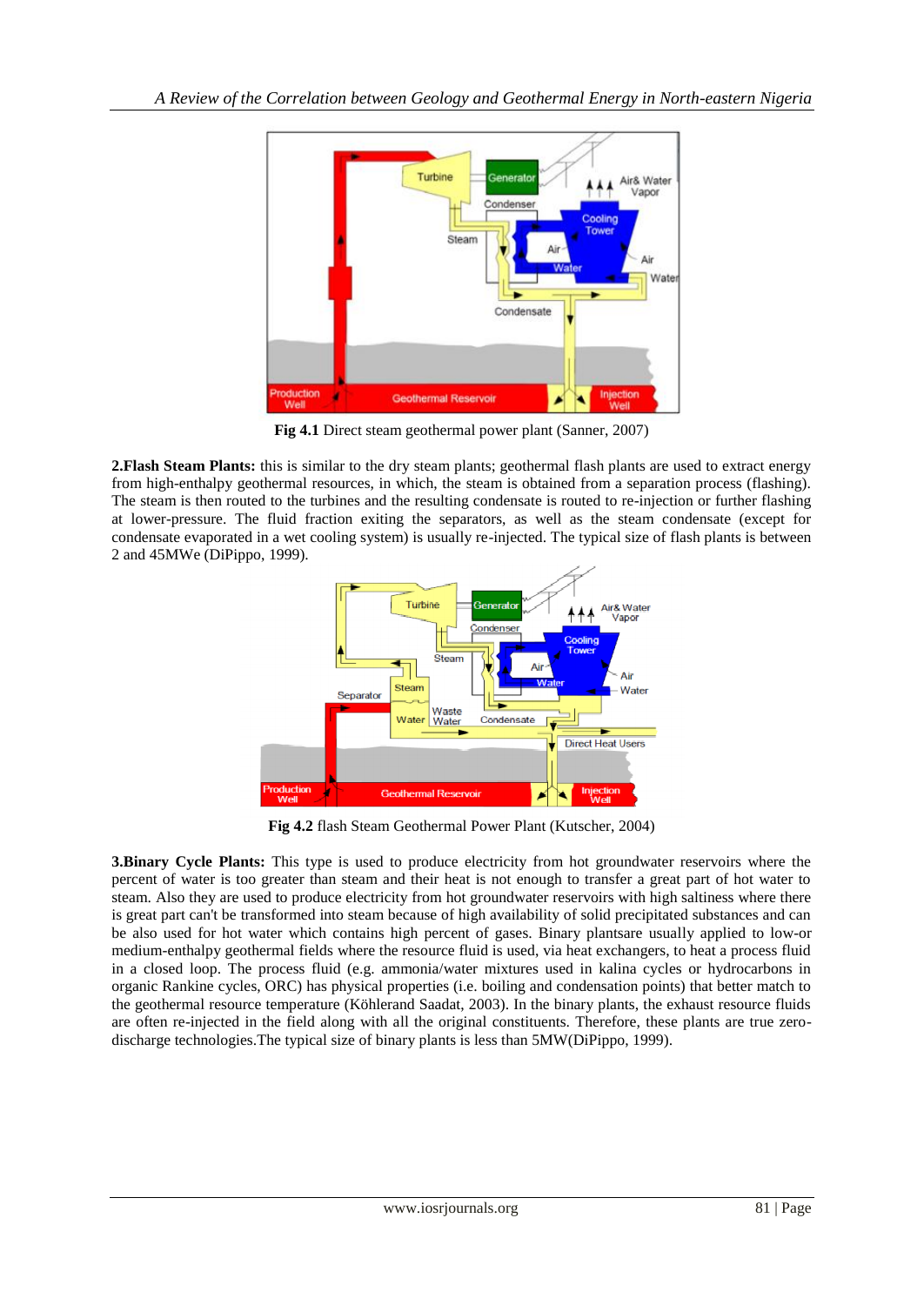

**Fig 4.1** Direct steam geothermal power plant (Sanner, 2007)

**2.Flash Steam Plants:** this is similar to the dry steam plants; geothermal flash plants are used to extract energy from high-enthalpy geothermal resources, in which, the steam is obtained from a separation process (flashing). The steam is then routed to the turbines and the resulting condensate is routed to re-injection or further flashing at lower-pressure. The fluid fraction exiting the separators, as well as the steam condensate (except for condensate evaporated in a wet cooling system) is usually re-injected. The typical size of flash plants is between 2 and 45MWe (DiPippo, 1999).



**Fig 4.2** flash Steam Geothermal Power Plant (Kutscher, 2004)

**3.Binary Cycle Plants:** This type is used to produce electricity from hot groundwater reservoirs where the percent of water is too greater than steam and their heat is not enough to transfer a great part of hot water to steam. Also they are used to produce electricity from hot groundwater reservoirs with high saltiness where there is great part can't be transformed into steam because of high availability of solid precipitated substances and can be also used for hot water which contains high percent of gases. Binary plantsare usually applied to low-or medium-enthalpy geothermal fields where the resource fluid is used, via heat exchangers, to heat a process fluid in a closed loop. The process fluid (e.g. ammonia/water mixtures used in kalina cycles or hydrocarbons in organic Rankine cycles, ORC) has physical properties (i.e. boiling and condensation points) that better match to the geothermal resource temperature (Köhlerand Saadat, 2003). In the binary plants, the exhaust resource fluids are often re-injected in the field along with all the original constituents. Therefore, these plants are true zerodischarge technologies.The typical size of binary plants is less than 5MW(DiPippo, 1999).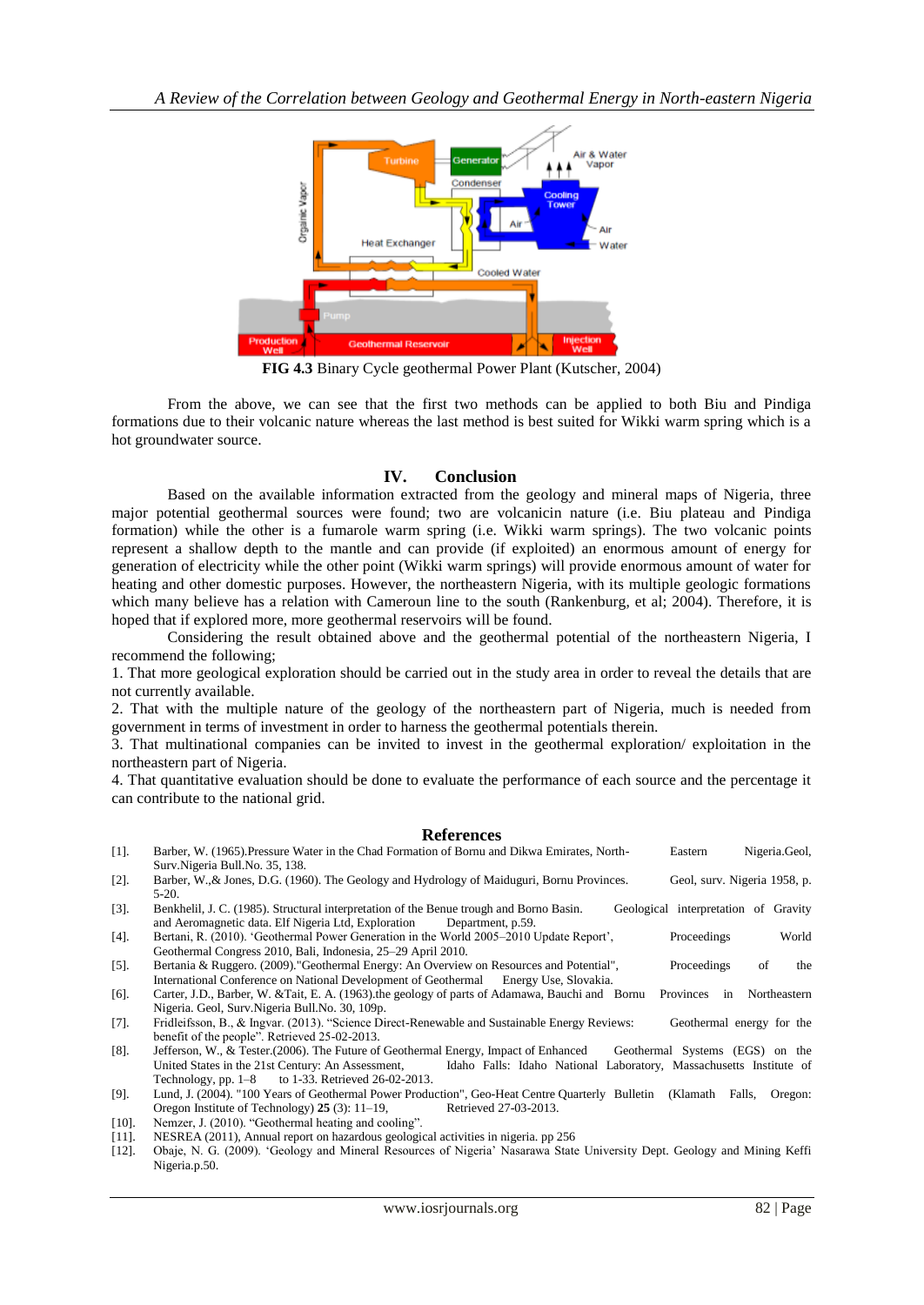

**FIG 4.3** Binary Cycle geothermal Power Plant (Kutscher, 2004)

From the above, we can see that the first two methods can be applied to both Biu and Pindiga formations due to their volcanic nature whereas the last method is best suited for Wikki warm spring which is a hot groundwater source.

# **IV. Conclusion**

Based on the available information extracted from the geology and mineral maps of Nigeria, three major potential geothermal sources were found; two are volcanicin nature (i.e. Biu plateau and Pindiga formation) while the other is a fumarole warm spring (i.e. Wikki warm springs). The two volcanic points represent a shallow depth to the mantle and can provide (if exploited) an enormous amount of energy for generation of electricity while the other point (Wikki warm springs) will provide enormous amount of water for heating and other domestic purposes. However, the northeastern Nigeria, with its multiple geologic formations which many believe has a relation with Cameroun line to the south (Rankenburg, et al; 2004). Therefore, it is hoped that if explored more, more geothermal reservoirs will be found.

Considering the result obtained above and the geothermal potential of the northeastern Nigeria, I recommend the following;

1. That more geological exploration should be carried out in the study area in order to reveal the details that are not currently available.

2. That with the multiple nature of the geology of the northeastern part of Nigeria, much is needed from government in terms of investment in order to harness the geothermal potentials therein.

3. That multinational companies can be invited to invest in the geothermal exploration/ exploitation in the northeastern part of Nigeria.

4. That quantitative evaluation should be done to evaluate the performance of each source and the percentage it can contribute to the national grid.

## **References**

| $[1]$ . | Barber, W. (1965). Pressure Water in the Chad Formation of Bornu and Dikwa Emirates, North-              |                                                                    |  | Eastern                              | Nigeria.Geol. |  |  |
|---------|----------------------------------------------------------------------------------------------------------|--------------------------------------------------------------------|--|--------------------------------------|---------------|--|--|
|         | Surv. Nigeria Bull. No. 35, 138.                                                                         |                                                                    |  |                                      |               |  |  |
| $[2]$ . | Barber, W., & Jones, D.G. (1960). The Geology and Hydrology of Maiduguri, Bornu Provinces.               |                                                                    |  | Geol, surv. Nigeria 1958, p.         |               |  |  |
|         | $5-20.$                                                                                                  |                                                                    |  |                                      |               |  |  |
| $[3]$ . | Benkhelil, J. C. (1985). Structural interpretation of the Benue trough and Borno Basin.                  |                                                                    |  | Geological interpretation of Gravity |               |  |  |
|         | and Aeromagnetic data. Elf Nigeria Ltd, Exploration<br>Department, p.59.                                 |                                                                    |  |                                      |               |  |  |
| $[4]$ . | Bertani, R. (2010). 'Geothermal Power Generation in the World 2005–2010 Update Report',                  |                                                                    |  | Proceedings                          | World         |  |  |
|         | Geothermal Congress 2010, Bali, Indonesia, 25–29 April 2010.                                             |                                                                    |  |                                      |               |  |  |
| $[5]$ . | Bertania & Ruggero. (2009). "Geothermal Energy: An Overview on Resources and Potential",                 |                                                                    |  | Proceedings                          | of<br>the     |  |  |
|         | International Conference on National Development of Geothermal Energy Use, Slovakia.                     |                                                                    |  |                                      |               |  |  |
| $[6]$ . | Carter, J.D., Barber, W. & Tait, E. A. (1963). the geology of parts of Adamawa, Bauchi and Bornu         |                                                                    |  | <b>Provinces</b><br>in               | Northeastern  |  |  |
|         | Nigeria. Geol. Surv. Nigeria Bull. No. 30, 109p.                                                         |                                                                    |  |                                      |               |  |  |
| $[7]$ . | Fridleifsson, B., & Ingvar. (2013). "Science Direct-Renewable and Sustainable Energy Reviews:            |                                                                    |  | Geothermal energy for the            |               |  |  |
|         | benefit of the people". Retrieved 25-02-2013.                                                            |                                                                    |  |                                      |               |  |  |
| $[8]$ . | Jefferson, W., & Tester. (2006). The Future of Geothermal Energy, Impact of Enhanced                     |                                                                    |  | Geothermal Systems (EGS) on the      |               |  |  |
|         | United States in the 21st Century: An Assessment,                                                        | Idaho Falls: Idaho National Laboratory, Massachusetts Institute of |  |                                      |               |  |  |
|         | Technology, pp. 1–8 to 1-33. Retrieved 26-02-2013.                                                       |                                                                    |  |                                      |               |  |  |
| $[9]$ . | Lund, J. (2004). "100 Years of Geothermal Power Production", Geo-Heat Centre Quarterly Bulletin (Klamath |                                                                    |  | Falls.                               | Oregon:       |  |  |
|         | Oregon Institute of Technology) 25 (3): 11–19,                                                           | Retrieved 27-03-2013.                                              |  |                                      |               |  |  |

- [10]. Nemzer, J. (2010). "Geothermal heating and cooling".
- [11]. NESREA (2011), Annual report on hazardous geological activities in nigeria. pp 256
- [12]. Obaje, N. G. (2009). "Geology and Mineral Resources of Nigeria" Nasarawa State University Dept. Geology and Mining Keffi Nigeria.p.50.